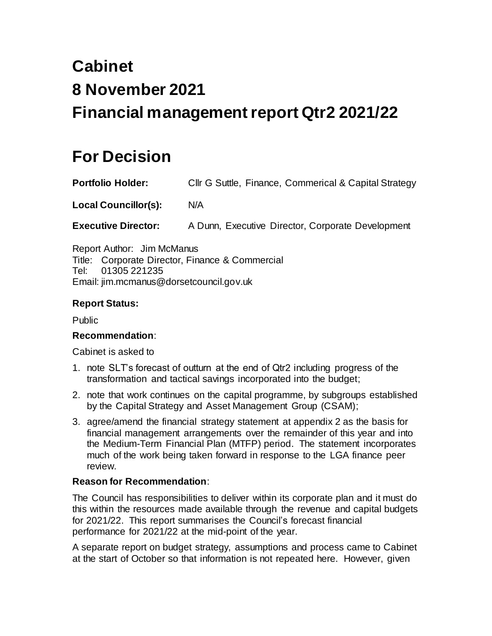# **Cabinet 8 November 2021 Financial management report Qtr2 2021/22**

# **For Decision**

**Portfolio Holder:** Cllr G Suttle, Finance, Commerical & Capital Strategy

**Local Councillor(s):** N/A

**Executive Director:** A Dunn, Executive Director, Corporate Development

Report Author: Jim McManus Title: Corporate Director, Finance & Commercial Tel: 01305 221235 Email: jim.mcmanus@dorsetcouncil.gov.uk

# **Report Status:**

Public

# **Recommendation**:

Cabinet is asked to

- 1. note SLT's forecast of outturn at the end of Qtr2 including progress of the transformation and tactical savings incorporated into the budget;
- 2. note that work continues on the capital programme, by subgroups established by the Capital Strategy and Asset Management Group (CSAM);
- 3. agree/amend the financial strategy statement at appendix 2 as the basis for financial management arrangements over the remainder of this year and into the Medium-Term Financial Plan (MTFP) period. The statement incorporates much of the work being taken forward in response to the LGA finance peer review.

# **Reason for Recommendation**:

The Council has responsibilities to deliver within its corporate plan and it must do this within the resources made available through the revenue and capital budgets for 2021/22. This report summarises the Council's forecast financial performance for 2021/22 at the mid-point of the year.

A separate report on budget strategy, assumptions and process came to Cabinet at the start of October so that information is not repeated here. However, given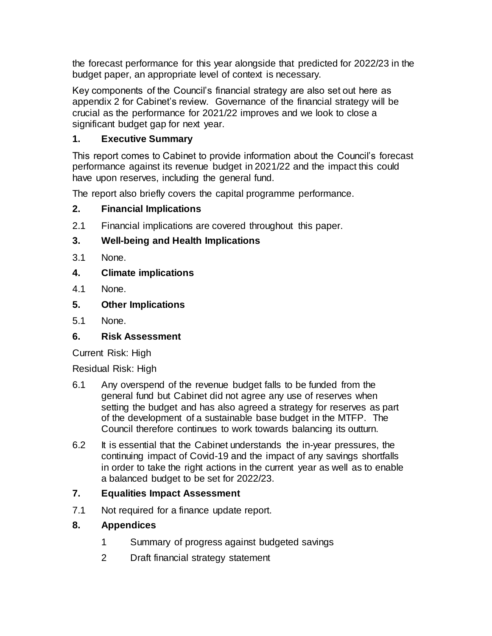the forecast performance for this year alongside that predicted for 2022/23 in the budget paper, an appropriate level of context is necessary.

Key components of the Council's financial strategy are also set out here as appendix 2 for Cabinet's review. Governance of the financial strategy will be crucial as the performance for 2021/22 improves and we look to close a significant budget gap for next year.

# **1. Executive Summary**

This report comes to Cabinet to provide information about the Council's forecast performance against its revenue budget in 2021/22 and the impact this could have upon reserves, including the general fund.

The report also briefly covers the capital programme performance.

# **2. Financial Implications**

2.1 Financial implications are covered throughout this paper.

# **3. Well-being and Health Implications**

- 3.1 None.
- **4. Climate implications**
- 4.1 None.
- **5. Other Implications**
- 5.1 None.

# **6. Risk Assessment**

Current Risk: High

Residual Risk: High

- 6.1 Any overspend of the revenue budget falls to be funded from the general fund but Cabinet did not agree any use of reserves when setting the budget and has also agreed a strategy for reserves as part of the development of a sustainable base budget in the MTFP. The Council therefore continues to work towards balancing its outturn.
- 6.2 It is essential that the Cabinet understands the in-year pressures, the continuing impact of Covid-19 and the impact of any savings shortfalls in order to take the right actions in the current year as well as to enable a balanced budget to be set for 2022/23.

# **7. Equalities Impact Assessment**

7.1 Not required for a finance update report.

# **8. Appendices**

- 1 Summary of progress against budgeted savings
- 2 Draft financial strategy statement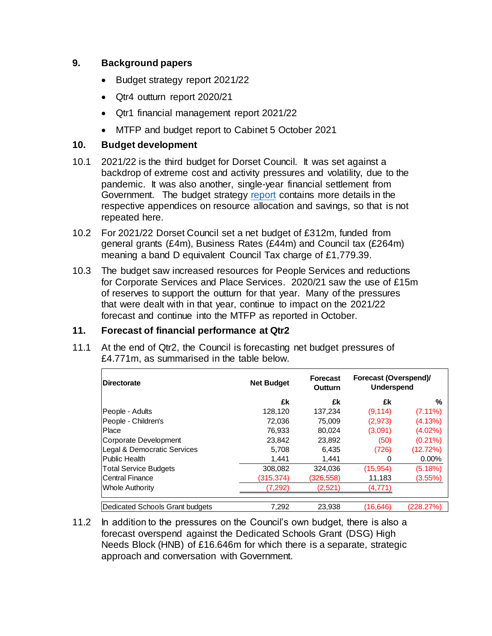# **9. Background papers**

- Budget strategy report 2021/22
- Qtr4 outturn report 2020/21
- Qtr1 financial management report 2021/22
- MTFP and budget report to Cabinet 5 October 2021

# **10. Budget development**

- 10.1 2021/22 is the third budget for Dorset Council. It was set against a backdrop of extreme cost and activity pressures and volatility, due to the pandemic. It was also another, single-year financial settlement from Government. The budget strategy [report](https://moderngov.dorsetcouncil.gov.uk/documents/s22881/Budget%20strategy%20report%20Appendices%2019012021%20Dorset%20Council%20-%20Cabinet.pdf) contains more details in the respective appendices on resource allocation and savings, so that is not repeated here.
- 10.2 For 2021/22 Dorset Council set a net budget of £312m, funded from general grants (£4m), Business Rates (£44m) and Council tax (£264m) meaning a band D equivalent Council Tax charge of £1,779.39.
- 10.3 The budget saw increased resources for People Services and reductions for Corporate Services and Place Services. 2020/21 saw the use of £15m of reserves to support the outturn for that year. Many of the pressures that were dealt with in that year, continue to impact on the 2021/22 forecast and continue into the MTFP as reported in October.

# **11. Forecast of financial performance at Qtr2**

11.1 At the end of Qtr2, the Council is forecasting net budget pressures of £4.771m, as summarised in the table below.

| <b>IDirectorate</b>             | <b>Net Budget</b> | <b>Forecast</b><br><b>Outturn</b> | Forecast (Overspend)/<br><b>Underspend</b> |            |
|---------------------------------|-------------------|-----------------------------------|--------------------------------------------|------------|
|                                 | £k                | £k                                | £k                                         | %          |
| People - Adults                 | 128,120           | 137,234                           | (9, 114)                                   | $(7.11\%)$ |
| People - Children's             | 72.036            | 75,009                            | (2,973)                                    | (4.13%)    |
| Place                           | 76,933            | 80.024                            | (3.091)                                    | $(4.02\%)$ |
| Corporate Development           | 23,842            | 23,892                            | (50)                                       | $(0.21\%)$ |
| Legal & Democratic Services     | 5.708             | 6,435                             | (726)                                      | (12.72%)   |
| lPublic Health                  | 1.441             | 1,441                             | 0                                          | $0.00\%$   |
| <b>Total Service Budgets</b>    | 308,082           | 324.036                           | (15,954)                                   | (5.18%)    |
| Central Finance                 | (315,374)         | (326,558)                         | 11,183                                     | (3.55%)    |
| Whole Authority                 | (7, 292)          | (2,521)                           | (4,771)                                    |            |
| Dedicated Schools Grant budgets | 7,292             | 23.938                            | (16, 646)                                  | (228.27%)  |

11.2 In addition to the pressures on the Council's own budget, there is also a forecast overspend against the Dedicated Schools Grant (DSG) High Needs Block (HNB) of £16.646m for which there is a separate, strategic approach and conversation with Government.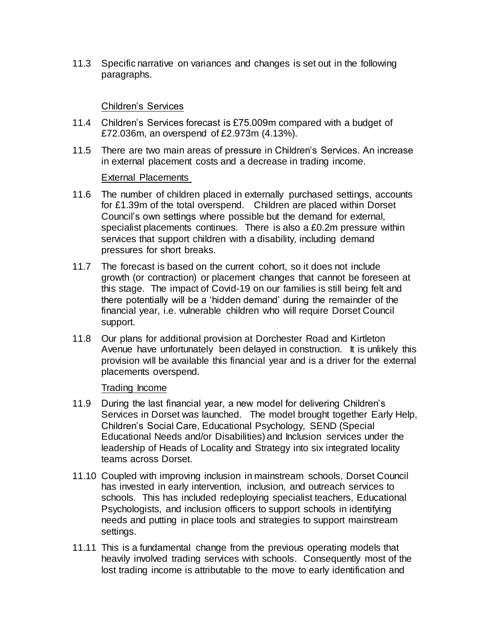11.3 Specific narrative on variances and changes is set out in the following paragraphs.

# Children's Services

- 11.4 Children's Services forecast is £75.009m compared with a budget of £72.036m, an overspend of £2.973m (4.13%).
- 11.5 There are two main areas of pressure in Children's Services. An increase in external placement costs and a decrease in trading income.

# External Placements

- 11.6 The number of children placed in externally purchased settings, accounts for £1.39m of the total overspend. Children are placed within Dorset Council's own settings where possible but the demand for external, specialist placements continues. There is also a £0.2m pressure within services that support children with a disability, including demand pressures for short breaks.
- 11.7 The forecast is based on the current cohort, so it does not include growth (or contraction) or placement changes that cannot be foreseen at this stage. The impact of Covid-19 on our families is still being felt and there potentially will be a 'hidden demand' during the remainder of the financial year, i.e. vulnerable children who will require Dorset Council support.
- 11.8 Our plans for additional provision at Dorchester Road and Kirtleton Avenue have unfortunately been delayed in construction. It is unlikely this provision will be available this financial year and is a driver for the external placements overspend.

# Trading Income

- 11.9 During the last financial year, a new model for delivering Children's Services in Dorset was launched. The model brought together Early Help, Children's Social Care, Educational Psychology, SEND (Special Educational Needs and/or Disabilities) and Inclusion services under the leadership of Heads of Locality and Strategy into six integrated locality teams across Dorset.
- 11.10 Coupled with improving inclusion in mainstream schools, Dorset Council has invested in early intervention, inclusion, and outreach services to schools. This has included redeploying specialist teachers, Educational Psychologists, and inclusion officers to support schools in identifying needs and putting in place tools and strategies to support mainstream settings.
- 11.11 This is a fundamental change from the previous operating models that heavily involved trading services with schools. Consequently most of the lost trading income is attributable to the move to early identification and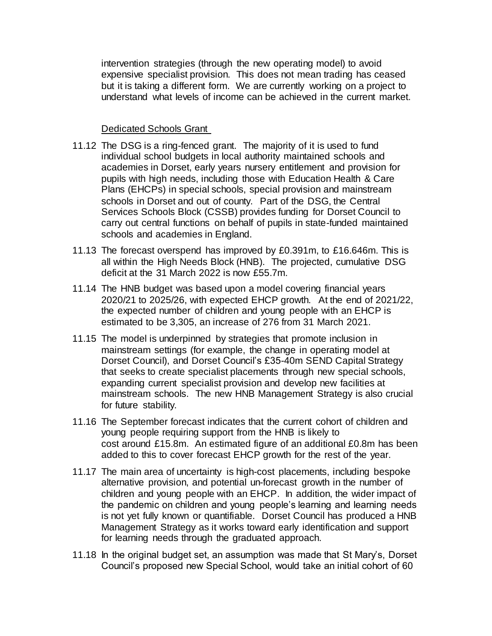intervention strategies (through the new operating model) to avoid expensive specialist provision. This does not mean trading has ceased but it is taking a different form. We are currently working on a project to understand what levels of income can be achieved in the current market.

# Dedicated Schools Grant

- 11.12 The DSG is a ring-fenced grant. The majority of it is used to fund individual school budgets in local authority maintained schools and academies in Dorset, early years nursery entitlement and provision for pupils with high needs, including those with Education Health & Care Plans (EHCPs) in special schools, special provision and mainstream schools in Dorset and out of county. Part of the DSG, the Central Services Schools Block (CSSB) provides funding for Dorset Council to carry out central functions on behalf of pupils in state-funded maintained schools and academies in England.
- 11.13 The forecast overspend has improved by £0.391m, to £16.646m. This is all within the High Needs Block (HNB). The projected, cumulative DSG deficit at the 31 March 2022 is now £55.7m.
- 11.14 The HNB budget was based upon a model covering financial years 2020/21 to 2025/26, with expected EHCP growth. At the end of 2021/22, the expected number of children and young people with an EHCP is estimated to be 3,305, an increase of 276 from 31 March 2021.
- 11.15 The model is underpinned by strategies that promote inclusion in mainstream settings (for example, the change in operating model at Dorset Council), and Dorset Council's £35-40m SEND Capital Strategy that seeks to create specialist placements through new special schools, expanding current specialist provision and develop new facilities at mainstream schools. The new HNB Management Strategy is also crucial for future stability.
- 11.16 The September forecast indicates that the current cohort of children and young people requiring support from the HNB is likely to cost around £15.8m. An estimated figure of an additional £0.8m has been added to this to cover forecast EHCP growth for the rest of the year.
- 11.17 The main area of uncertainty is high-cost placements, including bespoke alternative provision, and potential un-forecast growth in the number of children and young people with an EHCP. In addition, the wider impact of the pandemic on children and young people's learning and learning needs is not yet fully known or quantifiable. Dorset Council has produced a HNB Management Strategy as it works toward early identification and support for learning needs through the graduated approach.
- 11.18 In the original budget set, an assumption was made that St Mary's, Dorset Council's proposed new Special School, would take an initial cohort of 60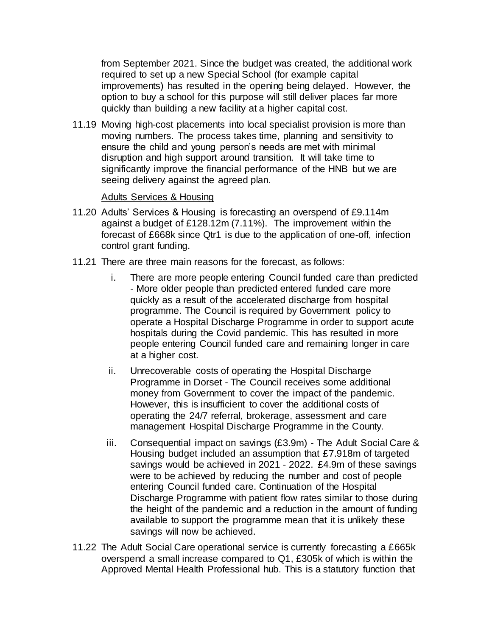from September 2021. Since the budget was created, the additional work required to set up a new Special School (for example capital improvements) has resulted in the opening being delayed. However, the option to buy a school for this purpose will still deliver places far more quickly than building a new facility at a higher capital cost.

11.19 Moving high-cost placements into local specialist provision is more than moving numbers. The process takes time, planning and sensitivity to ensure the child and young person's needs are met with minimal disruption and high support around transition. It will take time to significantly improve the financial performance of the HNB but we are seeing delivery against the agreed plan.

## Adults Services & Housing

- 11.20 Adults' Services & Housing is forecasting an overspend of £9.114m against a budget of £128.12m (7.11%). The improvement within the forecast of £668k since Qtr1 is due to the application of one-off, infection control grant funding.
- 11.21 There are three main reasons for the forecast, as follows:
	- i. There are more people entering Council funded care than predicted - More older people than predicted entered funded care more quickly as a result of the accelerated discharge from hospital programme. The Council is required by Government policy to operate a Hospital Discharge Programme in order to support acute hospitals during the Covid pandemic. This has resulted in more people entering Council funded care and remaining longer in care at a higher cost.
	- ii. Unrecoverable costs of operating the Hospital Discharge Programme in Dorset - The Council receives some additional money from Government to cover the impact of the pandemic. However, this is insufficient to cover the additional costs of operating the 24/7 referral, brokerage, assessment and care management Hospital Discharge Programme in the County.
	- iii. Consequential impact on savings (£3.9m) The Adult Social Care & Housing budget included an assumption that £7.918m of targeted savings would be achieved in 2021 - 2022. £4.9m of these savings were to be achieved by reducing the number and cost of people entering Council funded care. Continuation of the Hospital Discharge Programme with patient flow rates similar to those during the height of the pandemic and a reduction in the amount of funding available to support the programme mean that it is unlikely these savings will now be achieved.
- 11.22 The Adult Social Care operational service is currently forecasting a £665k overspend a small increase compared to Q1, £305k of which is within the Approved Mental Health Professional hub. This is a statutory function that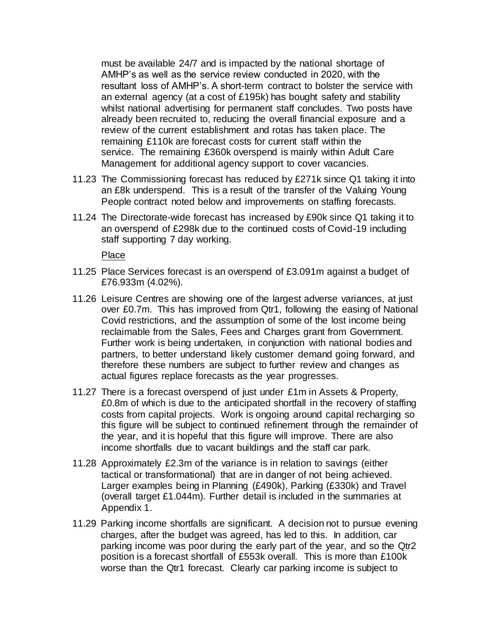must be available 24/7 and is impacted by the national shortage of AMHP's as well as the service review conducted in 2020, with the resultant loss of AMHP's. A short-term contract to bolster the service with an external agency (at a cost of £195k) has bought safety and stability whilst national advertising for permanent staff concludes. Two posts have already been recruited to, reducing the overall financial exposure and a review of the current establishment and rotas has taken place. The remaining £110k are forecast costs for current staff within the service. The remaining £360k overspend is mainly within Adult Care Management for additional agency support to cover vacancies.

- 11.23 The Commissioning forecast has reduced by £271k since Q1 taking it into an £8k underspend. This is a result of the transfer of the Valuing Young People contract noted below and improvements on staffing forecasts.
- 11.24 The Directorate-wide forecast has increased by £90k since Q1 taking it to an overspend of £298k due to the continued costs of Covid-19 including staff supporting 7 day working.

Place

- 11.25 Place Services forecast is an overspend of £3.091m against a budget of £76.933m (4.02%).
- 11.26 Leisure Centres are showing one of the largest adverse variances, at just over £0.7m. This has improved from Qtr1, following the easing of National Covid restrictions, and the assumption of some of the lost income being reclaimable from the Sales, Fees and Charges grant from Government. Further work is being undertaken, in conjunction with national bodies and partners, to better understand likely customer demand going forward, and therefore these numbers are subject to further review and changes as actual figures replace forecasts as the year progresses.
- 11.27 There is a forecast overspend of just under £1m in Assets & Property, £0.8m of which is due to the anticipated shortfall in the recovery of staffing costs from capital projects. Work is ongoing around capital recharging so this figure will be subject to continued refinement through the remainder of the year, and it is hopeful that this figure will improve. There are also income shortfalls due to vacant buildings and the staff car park.
- 11.28 Approximately £2.3m of the variance is in relation to savings (either tactical or transformational) that are in danger of not being achieved. Larger examples being in Planning (£490k), Parking (£330k) and Travel (overall target £1.044m). Further detail is included in the summaries at Appendix 1.
- 11.29 Parking income shortfalls are significant. A decision not to pursue evening charges, after the budget was agreed, has led to this. In addition, car parking income was poor during the early part of the year, and so the Qtr2 position is a forecast shortfall of £553k overall. This is more than £100k worse than the Qtr1 forecast. Clearly car parking income is subject to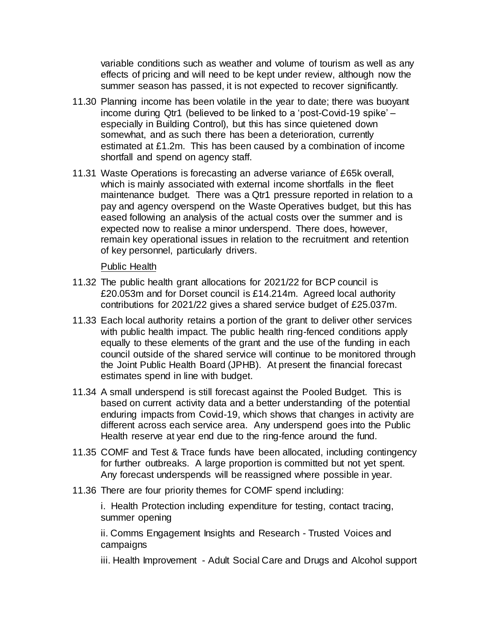variable conditions such as weather and volume of tourism as well as any effects of pricing and will need to be kept under review, although now the summer season has passed, it is not expected to recover significantly.

- 11.30 Planning income has been volatile in the year to date; there was buoyant income during Qtr1 (believed to be linked to a 'post-Covid-19 spike' – especially in Building Control), but this has since quietened down somewhat, and as such there has been a deterioration, currently estimated at £1.2m. This has been caused by a combination of income shortfall and spend on agency staff.
- 11.31 Waste Operations is forecasting an adverse variance of £65k overall, which is mainly associated with external income shortfalls in the fleet maintenance budget. There was a Qtr1 pressure reported in relation to a pay and agency overspend on the Waste Operatives budget, but this has eased following an analysis of the actual costs over the summer and is expected now to realise a minor underspend. There does, however, remain key operational issues in relation to the recruitment and retention of key personnel, particularly drivers.

## Public Health

- 11.32 The public health grant allocations for 2021/22 for BCP council is £20.053m and for Dorset council is £14.214m. Agreed local authority contributions for 2021/22 gives a shared service budget of £25.037m.
- 11.33 Each local authority retains a portion of the grant to deliver other services with public health impact. The public health ring-fenced conditions apply equally to these elements of the grant and the use of the funding in each council outside of the shared service will continue to be monitored through the Joint Public Health Board (JPHB). At present the financial forecast estimates spend in line with budget.
- 11.34 A small underspend is still forecast against the Pooled Budget. This is based on current activity data and a better understanding of the potential enduring impacts from Covid-19, which shows that changes in activity are different across each service area. Any underspend goes into the Public Health reserve at year end due to the ring-fence around the fund.
- 11.35 COMF and Test & Trace funds have been allocated, including contingency for further outbreaks. A large proportion is committed but not yet spent. Any forecast underspends will be reassigned where possible in year.
- 11.36 There are four priority themes for COMF spend including:

i. Health Protection including expenditure for testing, contact tracing, summer opening

ii. Comms Engagement Insights and Research - Trusted Voices and campaigns

iii. Health Improvement - Adult Social Care and Drugs and Alcohol support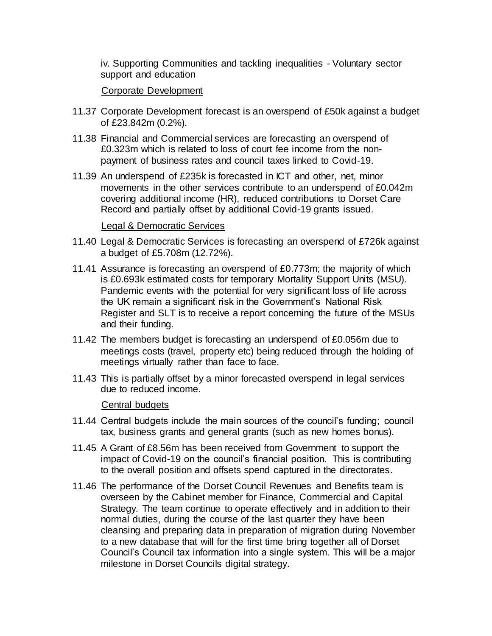iv. Supporting Communities and tackling inequalities - Voluntary sector support and education

# Corporate Development

- 11.37 Corporate Development forecast is an overspend of £50k against a budget of £23.842m (0.2%).
- 11.38 Financial and Commercial services are forecasting an overspend of £0.323m which is related to loss of court fee income from the nonpayment of business rates and council taxes linked to Covid-19.
- 11.39 An underspend of £235k is forecasted in ICT and other, net, minor movements in the other services contribute to an underspend of £0.042m covering additional income (HR), reduced contributions to Dorset Care Record and partially offset by additional Covid-19 grants issued.

#### Legal & Democratic Services

- 11.40 Legal & Democratic Services is forecasting an overspend of £726k against a budget of £5.708m (12.72%).
- 11.41 Assurance is forecasting an overspend of £0.773m; the majority of which is £0.693k estimated costs for temporary Mortality Support Units (MSU). Pandemic events with the potential for very significant loss of life across the UK remain a significant risk in the Government's National Risk Register and SLT is to receive a report concerning the future of the MSUs and their funding.
- 11.42 The members budget is forecasting an underspend of £0.056m due to meetings costs (travel, property etc) being reduced through the holding of meetings virtually rather than face to face.
- 11.43 This is partially offset by a minor forecasted overspend in legal services due to reduced income.

#### Central budgets

- 11.44 Central budgets include the main sources of the council's funding; council tax, business grants and general grants (such as new homes bonus).
- 11.45 A Grant of £8.56m has been received from Government to support the impact of Covid-19 on the council's financial position. This is contributing to the overall position and offsets spend captured in the directorates.
- 11.46 The performance of the Dorset Council Revenues and Benefits team is overseen by the Cabinet member for Finance, Commercial and Capital Strategy. The team continue to operate effectively and in addition to their normal duties, during the course of the last quarter they have been cleansing and preparing data in preparation of migration during November to a new database that will for the first time bring together all of Dorset Council's Council tax information into a single system. This will be a major milestone in Dorset Councils digital strategy.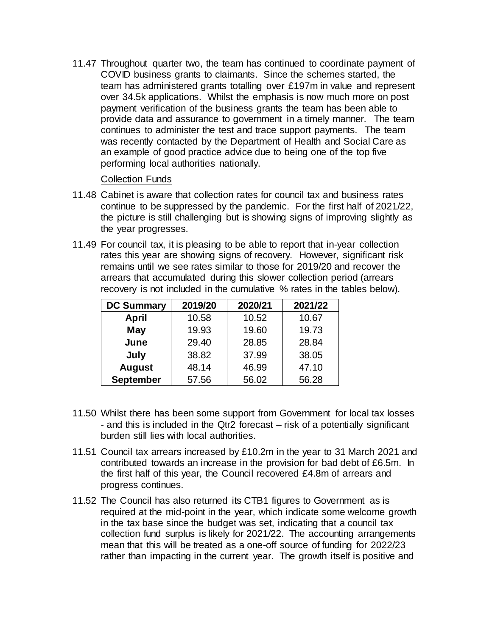11.47 Throughout quarter two, the team has continued to coordinate payment of COVID business grants to claimants. Since the schemes started, the team has administered grants totalling over £197m in value and represent over 34.5k applications. Whilst the emphasis is now much more on post payment verification of the business grants the team has been able to provide data and assurance to government in a timely manner. The team continues to administer the test and trace support payments. The team was recently contacted by the Department of Health and Social Care as an example of good practice advice due to being one of the top five performing local authorities nationally.

#### Collection Funds

- 11.48 Cabinet is aware that collection rates for council tax and business rates continue to be suppressed by the pandemic. For the first half of 2021/22, the picture is still challenging but is showing signs of improving slightly as the year progresses.
- 11.49 For council tax, it is pleasing to be able to report that in-year collection rates this year are showing signs of recovery. However, significant risk remains until we see rates similar to those for 2019/20 and recover the arrears that accumulated during this slower collection period (arrears recovery is not included in the cumulative % rates in the tables below).

| <b>DC Summary</b> | 2019/20 | 2020/21 | 2021/22 |
|-------------------|---------|---------|---------|
| <b>April</b>      | 10.58   | 10.52   | 10.67   |
| <b>May</b>        | 19.93   | 19.60   | 19.73   |
| June              | 29.40   | 28.85   | 28.84   |
| July              | 38.82   | 37.99   | 38.05   |
| <b>August</b>     | 48.14   | 46.99   | 47.10   |
| <b>September</b>  | 57.56   | 56.02   | 56.28   |

- 11.50 Whilst there has been some support from Government for local tax losses - and this is included in the Qtr2 forecast – risk of a potentially significant burden still lies with local authorities.
- 11.51 Council tax arrears increased by £10.2m in the year to 31 March 2021 and contributed towards an increase in the provision for bad debt of £6.5m. In the first half of this year, the Council recovered £4.8m of arrears and progress continues.
- 11.52 The Council has also returned its CTB1 figures to Government as is required at the mid-point in the year, which indicate some welcome growth in the tax base since the budget was set, indicating that a council tax collection fund surplus is likely for 2021/22. The accounting arrangements mean that this will be treated as a one-off source of funding for 2022/23 rather than impacting in the current year. The growth itself is positive and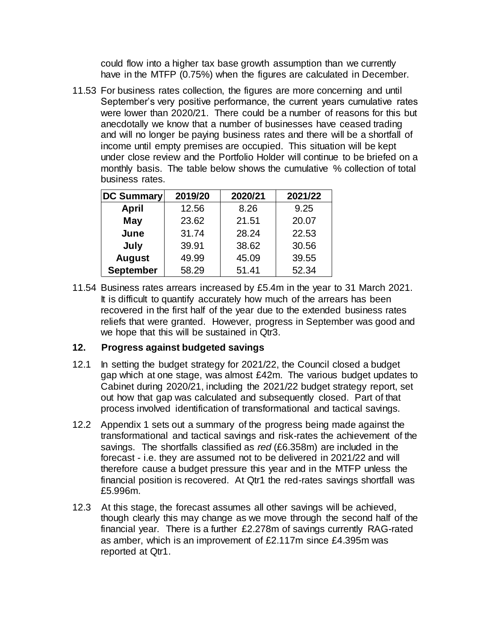could flow into a higher tax base growth assumption than we currently have in the MTFP (0.75%) when the figures are calculated in December.

11.53 For business rates collection, the figures are more concerning and until September's very positive performance, the current years cumulative rates were lower than 2020/21. There could be a number of reasons for this but anecdotally we know that a number of businesses have ceased trading and will no longer be paying business rates and there will be a shortfall of income until empty premises are occupied. This situation will be kept under close review and the Portfolio Holder will continue to be briefed on a monthly basis. The table below shows the cumulative % collection of total business rates.

| <b>DC Summary</b> | 2019/20 | 2020/21 | 2021/22 |
|-------------------|---------|---------|---------|
| <b>April</b>      | 12.56   | 8.26    | 9.25    |
| May               | 23.62   | 21.51   | 20.07   |
| June              | 31.74   | 28.24   | 22.53   |
| July              | 39.91   | 38.62   | 30.56   |
| <b>August</b>     | 49.99   | 45.09   | 39.55   |
| <b>September</b>  | 58.29   | 51.41   | 52.34   |

11.54 Business rates arrears increased by £5.4m in the year to 31 March 2021. It is difficult to quantify accurately how much of the arrears has been recovered in the first half of the year due to the extended business rates reliefs that were granted. However, progress in September was good and we hope that this will be sustained in Qtr3.

# **12. Progress against budgeted savings**

- 12.1 In setting the budget strategy for 2021/22, the Council closed a budget gap which at one stage, was almost £42m. The various budget updates to Cabinet during 2020/21, including the 2021/22 budget strategy report, set out how that gap was calculated and subsequently closed. Part of that process involved identification of transformational and tactical savings.
- 12.2 Appendix 1 sets out a summary of the progress being made against the transformational and tactical savings and risk-rates the achievement of the savings. The shortfalls classified as *red* (£6.358m) are included in the forecast - i.e. they are assumed not to be delivered in 2021/22 and will therefore cause a budget pressure this year and in the MTFP unless the financial position is recovered. At Qtr1 the red-rates savings shortfall was £5.996m.
- 12.3 At this stage, the forecast assumes all other savings will be achieved, though clearly this may change as we move through the second half of the financial year. There is a further £2.278m of savings currently RAG-rated as amber, which is an improvement of £2.117m since £4.395m was reported at Qtr1.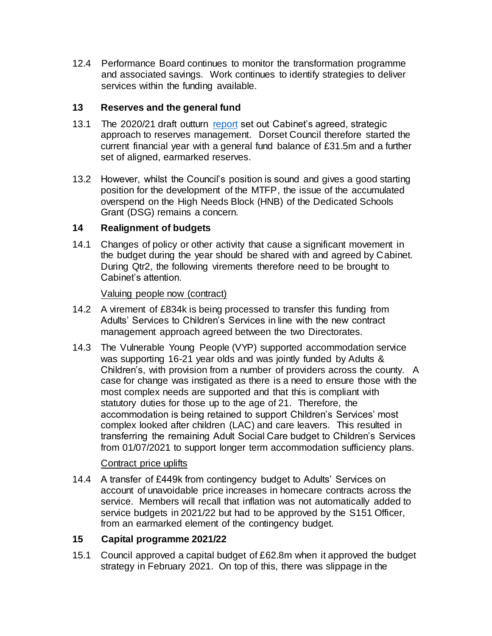12.4 Performance Board continues to monitor the transformation programme and associated savings. Work continues to identify strategies to deliver services within the funding available.

# **13 Reserves and the general fund**

- 13.1 The 2020/21 draft outturn [report](https://moderngov.dorsetcouncil.gov.uk/documents/s24751/2021-06-22%20Cabinet%20outturn%20report%202020-21%20final.pdf) set out Cabinet's agreed, strategic approach to reserves management. Dorset Council therefore started the current financial year with a general fund balance of £31.5m and a further set of aligned, earmarked reserves.
- 13.2 However, whilst the Council's position is sound and gives a good starting position for the development of the MTFP, the issue of the accumulated overspend on the High Needs Block (HNB) of the Dedicated Schools Grant (DSG) remains a concern.

# **14 Realignment of budgets**

14.1 Changes of policy or other activity that cause a significant movement in the budget during the year should be shared with and agreed by Cabinet. During Qtr2, the following virements therefore need to be brought to Cabinet's attention.

Valuing people now (contract)

- 14.2 A virement of £834k is being processed to transfer this funding from Adults' Services to Children's Services in line with the new contract management approach agreed between the two Directorates.
- 14.3 The Vulnerable Young People (VYP) supported accommodation service was supporting 16-21 year olds and was jointly funded by Adults & Children's, with provision from a number of providers across the county. A case for change was instigated as there is a need to ensure those with the most complex needs are supported and that this is compliant with statutory duties for those up to the age of 21. Therefore, the accommodation is being retained to support Children's Services' most complex looked after children (LAC) and care leavers. This resulted in transferring the remaining Adult Social Care budget to Children's Services from 01/07/2021 to support longer term accommodation sufficiency plans.

# Contract price uplifts

14.4 A transfer of £449k from contingency budget to Adults' Services on account of unavoidable price increases in homecare contracts across the service. Members will recall that inflation was not automatically added to service budgets in 2021/22 but had to be approved by the S151 Officer, from an earmarked element of the contingency budget.

# **15 Capital programme 2021/22**

15.1 Council approved a capital budget of £62.8m when it approved the budget strategy in February 2021. On top of this, there was slippage in the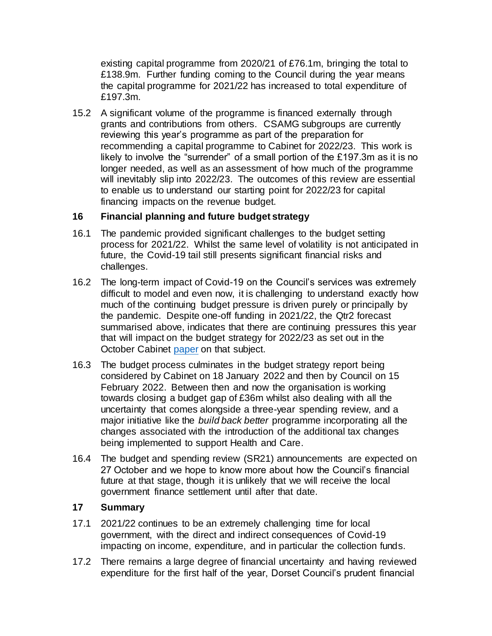existing capital programme from 2020/21 of £76.1m, bringing the total to £138.9m. Further funding coming to the Council during the year means the capital programme for 2021/22 has increased to total expenditure of £197.3m.

15.2 A significant volume of the programme is financed externally through grants and contributions from others. CSAMG subgroups are currently reviewing this year's programme as part of the preparation for recommending a capital programme to Cabinet for 2022/23. This work is likely to involve the "surrender" of a small portion of the £197.3m as it is no longer needed, as well as an assessment of how much of the programme will inevitably slip into 2022/23. The outcomes of this review are essential to enable us to understand our starting point for 2022/23 for capital financing impacts on the revenue budget.

# **16 Financial planning and future budget strategy**

- 16.1 The pandemic provided significant challenges to the budget setting process for 2021/22. Whilst the same level of volatility is not anticipated in future, the Covid-19 tail still presents significant financial risks and challenges.
- 16.2 The long-term impact of Covid-19 on the Council's services was extremely difficult to model and even now, it is challenging to understand exactly how much of the continuing budget pressure is driven purely or principally by the pandemic. Despite one-off funding in 2021/22, the Qtr2 forecast summarised above, indicates that there are continuing pressures this year that will impact on the budget strategy for 2022/23 as set out in the October Cabinet [paper](https://moderngov.dorsetcouncil.gov.uk/documents/s26079/Medium%20Term%20Financial%20Plan%20MTFP%20and%20budget%20strategy%20including%20appendices%201%202.pdf) on that subject.
- 16.3 The budget process culminates in the budget strategy report being considered by Cabinet on 18 January 2022 and then by Council on 15 February 2022. Between then and now the organisation is working towards closing a budget gap of £36m whilst also dealing with all the uncertainty that comes alongside a three-year spending review, and a major initiative like the *build back better* programme incorporating all the changes associated with the introduction of the additional tax changes being implemented to support Health and Care.
- 16.4 The budget and spending review (SR21) announcements are expected on 27 October and we hope to know more about how the Council's financial future at that stage, though it is unlikely that we will receive the local government finance settlement until after that date.

# **17 Summary**

- 17.1 2021/22 continues to be an extremely challenging time for local government, with the direct and indirect consequences of Covid-19 impacting on income, expenditure, and in particular the collection funds.
- 17.2 There remains a large degree of financial uncertainty and having reviewed expenditure for the first half of the year, Dorset Council's prudent financial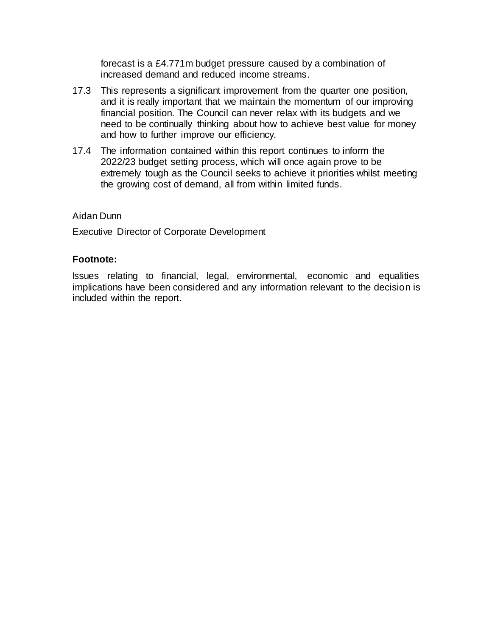forecast is a £4.771m budget pressure caused by a combination of increased demand and reduced income streams.

- 17.3 This represents a significant improvement from the quarter one position, and it is really important that we maintain the momentum of our improving financial position. The Council can never relax with its budgets and we need to be continually thinking about how to achieve best value for money and how to further improve our efficiency.
- 17.4 The information contained within this report continues to inform the 2022/23 budget setting process, which will once again prove to be extremely tough as the Council seeks to achieve it priorities whilst meeting the growing cost of demand, all from within limited funds.

## Aidan Dunn

Executive Director of Corporate Development

## **Footnote:**

Issues relating to financial, legal, environmental, economic and equalities implications have been considered and any information relevant to the decision is included within the report.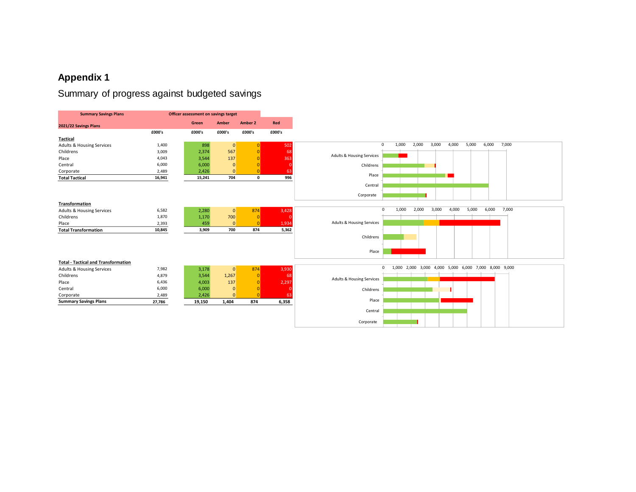# **Appendix 1**

# Summary of progress against budgeted savings

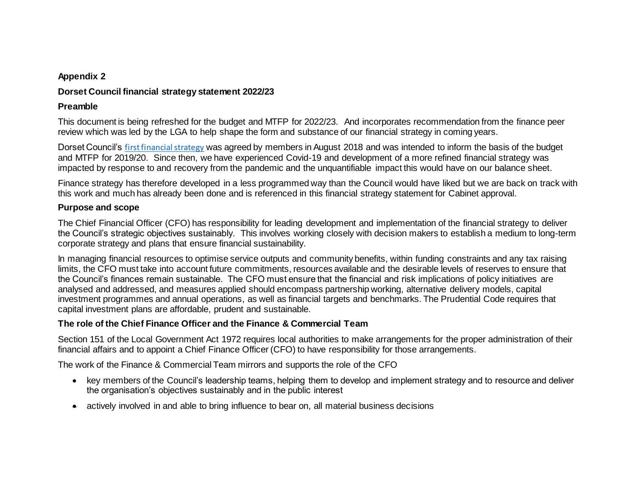#### **Appendix 2**

## **Dorset Council financial strategy statement 2022/23**

#### **Preamble**

This document is being refreshed for the budget and MTFP for 2022/23. And incorporates recommendation from the finance peer review which was led by the LGA to help shape the form and substance of our financial strategy in coming years.

Dorset Council's [first financial strategy](https://moderngov.dorsetcouncil.gov.uk/documents/s1468/8.%20Financial%20Strategy.pdf) was agreed by members in August 2018 and was intended to inform the basis of the budget and MTFP for 2019/20. Since then, we have experienced Covid-19 and development of a more refined financial strategy was impacted by response to and recovery from the pandemic and the unquantifiable impact this would have on our balance sheet.

Finance strategy has therefore developed in a less programmed way than the Council would have liked but we are back on track with this work and much has already been done and is referenced in this financial strategy statement for Cabinet approval.

#### **Purpose and scope**

The Chief Financial Officer (CFO) has responsibility for leading development and implementation of the financial strategy to deliver the Council's strategic objectives sustainably. This involves working closely with decision makers to establish a medium to long-term corporate strategy and plans that ensure financial sustainability.

In managing financial resources to optimise service outputs and community benefits, within funding constraints and any tax raising limits, the CFO must take into account future commitments, resources available and the desirable levels of reserves to ensure that the Council's finances remain sustainable. The CFO must ensure that the financial and risk implications of policy initiatives are analysed and addressed, and measures applied should encompass partnership working, alternative delivery models, capital investment programmes and annual operations, as well as financial targets and benchmarks. The Prudential Code requires that capital investment plans are affordable, prudent and sustainable.

#### **The role of the Chief Finance Officer and the Finance & Commercial Team**

Section 151 of the Local Government Act 1972 requires local authorities to make arrangements for the proper administration of their financial affairs and to appoint a Chief Finance Officer (CFO) to have responsibility for those arrangements.

The work of the Finance & Commercial Team mirrors and supports the role of the CFO

- key members of the Council's leadership teams, helping them to develop and implement strategy and to resource and deliver the organisation's objectives sustainably and in the public interest
- actively involved in and able to bring influence to bear on, all material business decisions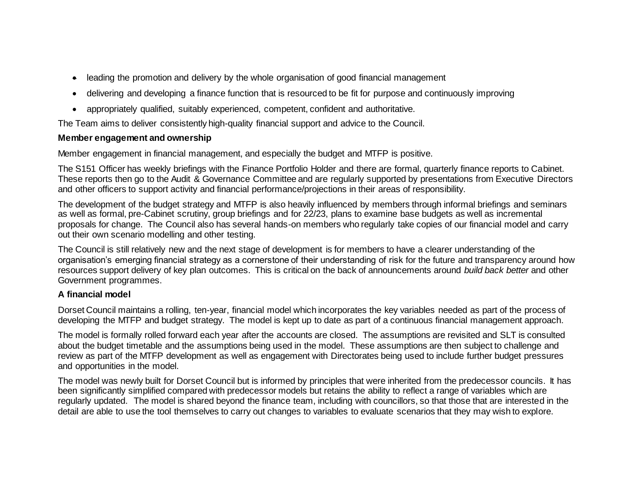- leading the promotion and delivery by the whole organisation of good financial management
- delivering and developing a finance function that is resourced to be fit for purpose and continuously improving
- appropriately qualified, suitably experienced, competent, confident and authoritative.

The Team aims to deliver consistently high-quality financial support and advice to the Council.

# **Member engagement and ownership**

Member engagement in financial management, and especially the budget and MTFP is positive.

The S151 Officer has weekly briefings with the Finance Portfolio Holder and there are formal, quarterly finance reports to Cabinet. These reports then go to the Audit & Governance Committee and are regularly supported by presentations from Executive Directors and other officers to support activity and financial performance/projections in their areas of responsibility.

The development of the budget strategy and MTFP is also heavily influenced by members through informal briefings and seminars as well as formal, pre-Cabinet scrutiny, group briefings and for 22/23, plans to examine base budgets as well as incremental proposals for change. The Council also has several hands-on members who regularly take copies of our financial model and carry out their own scenario modelling and other testing.

The Council is still relatively new and the next stage of development is for members to have a clearer understanding of the organisation's emerging financial strategy as a cornerstone of their understanding of risk for the future and transparency around how resources support delivery of key plan outcomes. This is critical on the back of announcements around *build back better* and other Government programmes.

# **A financial model**

Dorset Council maintains a rolling, ten-year, financial model which incorporates the key variables needed as part of the process of developing the MTFP and budget strategy. The model is kept up to date as part of a continuous financial management approach.

The model is formally rolled forward each year after the accounts are closed. The assumptions are revisited and SLT is consulted about the budget timetable and the assumptions being used in the model. These assumptions are then subject to challenge and review as part of the MTFP development as well as engagement with Directorates being used to include further budget pressures and opportunities in the model.

The model was newly built for Dorset Council but is informed by principles that were inherited from the predecessor councils. It has been significantly simplified compared with predecessor models but retains the ability to reflect a range of variables which are regularly updated. The model is shared beyond the finance team, including with councillors, so that those that are interested in the detail are able to use the tool themselves to carry out changes to variables to evaluate scenarios that they may wish to explore.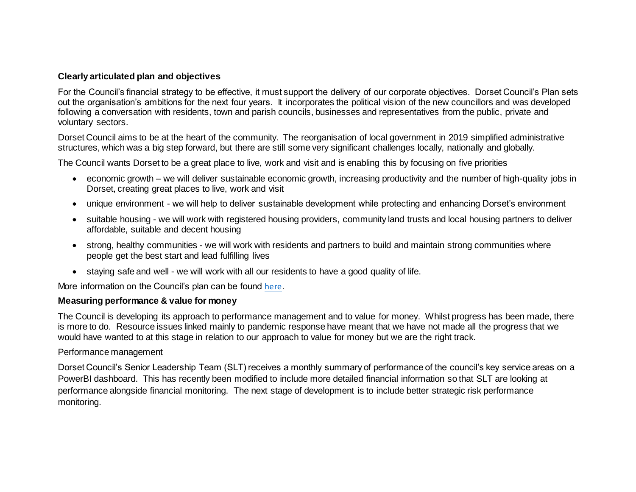#### **Clearly articulated plan and objectives**

For the Council's financial strategy to be effective, it must support the delivery of our corporate objectives. Dorset Council's Plan sets out the organisation's ambitions for the next four years. It incorporates the political vision of the new councillors and was developed following a conversation with residents, town and parish councils, businesses and representatives from the public, private and voluntary sectors.

Dorset Council aims to be at the heart of the community. The reorganisation of local government in 2019 simplified administrative structures, which was a big step forward, but there are still some very significant challenges locally, nationally and globally.

The Council wants Dorset to be a great place to live, work and visit and is enabling this by focusing on five priorities

- economic growth we will deliver sustainable economic growth, increasing productivity and the number of high-quality jobs in Dorset, creating great places to live, work and visit
- unique environment we will help to deliver sustainable development while protecting and enhancing Dorset's environment
- suitable housing we will work with registered housing providers, community land trusts and local housing partners to deliver affordable, suitable and decent housing
- strong, healthy communities we will work with residents and partners to build and maintain strong communities where people get the best start and lead fulfilling lives
- staying safe and well we will work with all our residents to have a good quality of life.

More information on the Council's plan can be found [here](https://www.dorsetcouncil.gov.uk/your-council/about-your-council/pdfs/dorset-councils-plan-2020.pdf).

#### **Measuring performance & value for money**

The Council is developing its approach to performance management and to value for money. Whilst progress has been made, there is more to do. Resource issues linked mainly to pandemic response have meant that we have not made all the progress that we would have wanted to at this stage in relation to our approach to value for money but we are the right track.

#### Performance management

Dorset Council's Senior Leadership Team (SLT) receives a monthly summary of performance of the council's key service areas on a PowerBI dashboard. This has recently been modified to include more detailed financial information so that SLT are looking at performance alongside financial monitoring. The next stage of development is to include better strategic risk performance monitoring.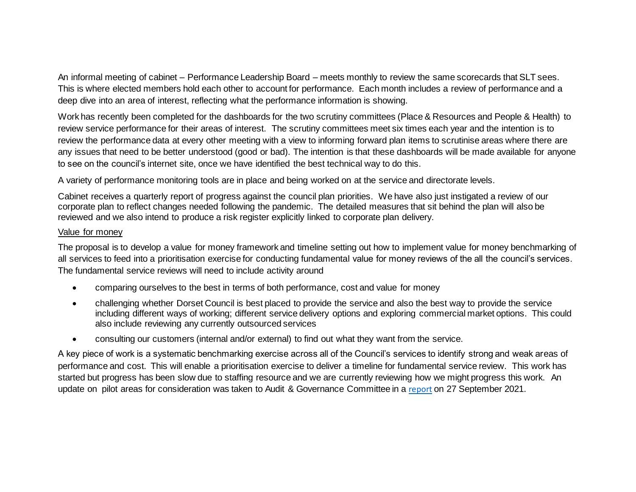An informal meeting of cabinet – Performance Leadership Board – meets monthly to review the same scorecards that SLT sees. This is where elected members hold each other to account for performance. Each month includes a review of performance and a deep dive into an area of interest, reflecting what the performance information is showing.

Work has recently been completed for the dashboards for the two scrutiny committees (Place & Resources and People & Health) to review service performance for their areas of interest. The scrutiny committees meet six times each year and the intention is to review the performance data at every other meeting with a view to informing forward plan items to scrutinise areas where there are any issues that need to be better understood (good or bad). The intention is that these dashboards will be made available for anyone to see on the council's internet site, once we have identified the best technical way to do this.

A variety of performance monitoring tools are in place and being worked on at the service and directorate levels.

Cabinet receives a quarterly report of progress against the council plan priorities. We have also just instigated a review of our corporate plan to reflect changes needed following the pandemic. The detailed measures that sit behind the plan will also be reviewed and we also intend to produce a risk register explicitly linked to corporate plan delivery.

#### Value for money

The proposal is to develop a value for money framework and timeline setting out how to implement value for money benchmarking of all services to feed into a prioritisation exercise for conducting fundamental value for money reviews of the all the council's services. The fundamental service reviews will need to include activity around

- comparing ourselves to the best in terms of both performance, cost and value for money
- challenging whether Dorset Council is best placed to provide the service and also the best way to provide the service including different ways of working; different service delivery options and exploring commercial market options. This could also include reviewing any currently outsourced services
- consulting our customers (internal and/or external) to find out what they want from the service.

A key piece of work is a systematic benchmarking exercise across all of the Council's services to identify strong and weak areas of performance and cost. This will enable a prioritisation exercise to deliver a timeline for fundamental service review. This work has started but progress has been slow due to staffing resource and we are currently reviewing how we might progress this work. An update on pilot areas for consideration was taken to Audit & Governance Committee in a [report](https://moderngov.dorsetcouncil.gov.uk/documents/s25933/Value%20for%20Money.pdf) on 27 September 2021.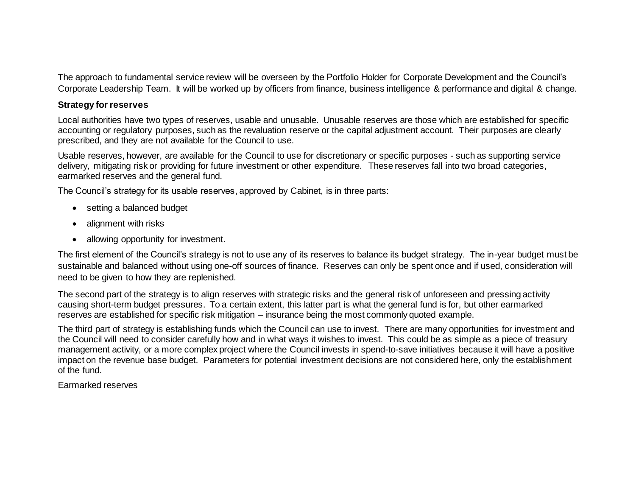The approach to fundamental service review will be overseen by the Portfolio Holder for Corporate Development and the Council's Corporate Leadership Team. It will be worked up by officers from finance, business intelligence & performance and digital & change.

#### **Strategy for reserves**

Local authorities have two types of reserves, usable and unusable. Unusable reserves are those which are established for specific accounting or regulatory purposes, such as the revaluation reserve or the capital adjustment account. Their purposes are clearly prescribed, and they are not available for the Council to use.

Usable reserves, however, are available for the Council to use for discretionary or specific purposes - such as supporting service delivery, mitigating risk or providing for future investment or other expenditure. These reserves fall into two broad categories, earmarked reserves and the general fund.

The Council's strategy for its usable reserves, approved by Cabinet, is in three parts:

- setting a balanced budget
- alignment with risks
- allowing opportunity for investment.

The first element of the Council's strategy is not to use any of its reserves to balance its budget strategy. The in-year budget must be sustainable and balanced without using one-off sources of finance. Reserves can only be spent once and if used, consideration will need to be given to how they are replenished.

The second part of the strategy is to align reserves with strategic risks and the general risk of unforeseen and pressing activity causing short-term budget pressures. To a certain extent, this latter part is what the general fund is for, but other earmarked reserves are established for specific risk mitigation – insurance being the most commonly quoted example.

The third part of strategy is establishing funds which the Council can use to invest. There are many opportunities for investment and the Council will need to consider carefully how and in what ways it wishes to invest. This could be as simple as a piece of treasury management activity, or a more complex project where the Council invests in spend-to-save initiatives because it will have a positive impact on the revenue base budget. Parameters for potential investment decisions are not considered here, only the establishment of the fund.

#### Earmarked reserves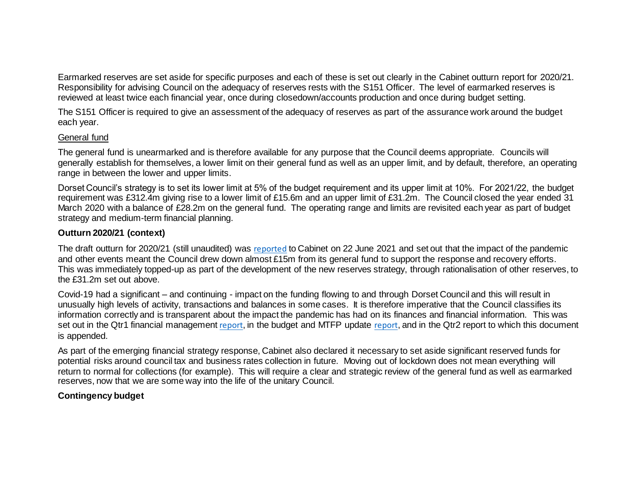Earmarked reserves are set aside for specific purposes and each of these is set out clearly in the Cabinet outturn report for 2020/21. Responsibility for advising Council on the adequacy of reserves rests with the S151 Officer. The level of earmarked reserves is reviewed at least twice each financial year, once during closedown/accounts production and once during budget setting.

The S151 Officer is required to give an assessment of the adequacy of reserves as part of the assurance work around the budget each year.

#### General fund

The general fund is unearmarked and is therefore available for any purpose that the Council deems appropriate. Councils will generally establish for themselves, a lower limit on their general fund as well as an upper limit, and by default, therefore, an operating range in between the lower and upper limits.

Dorset Council's strategy is to set its lower limit at 5% of the budget requirement and its upper limit at 10%. For 2021/22, the budget requirement was £312.4m giving rise to a lower limit of £15.6m and an upper limit of £31.2m. The Council closed the year ended 31 March 2020 with a balance of £28.2m on the general fund. The operating range and limits are revisited each year as part of budget strategy and medium-term financial planning.

# **Outturn 2020/21 (context)**

The draft outturn for 2020/21 (still unaudited) was [reported](https://moderngov.dorsetcouncil.gov.uk/documents/s24751/2021-06-22%20Cabinet%20outturn%20report%202020-21%20final.pdf) to Cabinet on 22 June 2021 and set out that the impact of the pandemic and other events meant the Council drew down almost £15m from its general fund to support the response and recovery efforts. This was immediately topped-up as part of the development of the new reserves strategy, through rationalisation of other reserves, to the £31.2m set out above.

Covid-19 had a significant – and continuing - impact on the funding flowing to and through Dorset Council and this will result in unusually high levels of activity, transactions and balances in some cases. It is therefore imperative that the Council classifies its information correctly and is transparent about the impact the pandemic has had on its finances and financial information. This was set out in the Qtr1 financial management [report](https://moderngov.dorsetcouncil.gov.uk/documents/s26079/Medium%20Term%20Financial%20Plan%20MTFP%20and%20budget%20strategy%20including%20appendices%201%202.pdf), in the budget and MTFP update report, and in the Qtr2 report to which this document is appended.

As part of the emerging financial strategy response, Cabinet also declared it necessary to set aside significant reserved funds for potential risks around council tax and business rates collection in future. Moving out of lockdown does not mean everything will return to normal for collections (for example). This will require a clear and strategic review of the general fund as well as earmarked reserves, now that we are some way into the life of the unitary Council.

# **Contingency budget**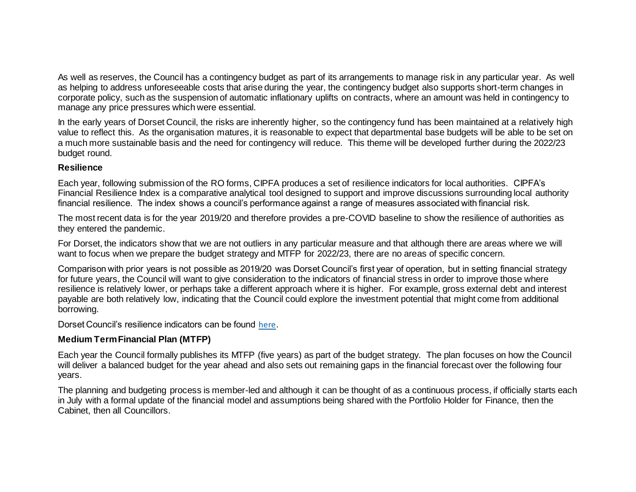As well as reserves, the Council has a contingency budget as part of its arrangements to manage risk in any particular year. As well as helping to address unforeseeable costs that arise during the year, the contingency budget also supports short-term changes in corporate policy, such as the suspension of automatic inflationary uplifts on contracts, where an amount was held in contingency to manage any price pressures which were essential.

In the early years of Dorset Council, the risks are inherently higher, so the contingency fund has been maintained at a relatively high value to reflect this. As the organisation matures, it is reasonable to expect that departmental base budgets will be able to be set on a much more sustainable basis and the need for contingency will reduce. This theme will be developed further during the 2022/23 budget round.

#### **Resilience**

Each year, following submission of the RO forms, CIPFA produces a set of resilience indicators for local authorities. CIPFA's Financial Resilience Index is a comparative analytical tool designed to support and improve discussions surrounding local authority financial resilience. The index shows a council's performance against a range of measures associated with financial risk.

The most recent data is for the year 2019/20 and therefore provides a pre-COVID baseline to show the resilience of authorities as they entered the pandemic.

For Dorset, the indicators show that we are not outliers in any particular measure and that although there are areas where we will want to focus when we prepare the budget strategy and MTFP for 2022/23, there are no areas of specific concern.

Comparison with prior years is not possible as 2019/20 was Dorset Council's first year of operation, but in setting financial strategy for future years, the Council will want to give consideration to the indicators of financial stress in order to improve those where resilience is relatively lower, or perhaps take a different approach where it is higher. For example, gross external debt and interest payable are both relatively low, indicating that the Council could explore the investment potential that might come from additional borrowing.

Dorset Council's resilience indicators can be found [here](https://www.cipfa.org/services/financial-resilience-index-2021/resilience-index-2021).

#### **Medium Term Financial Plan (MTFP)**

Each year the Council formally publishes its MTFP (five years) as part of the budget strategy. The plan focuses on how the Council will deliver a balanced budget for the year ahead and also sets out remaining gaps in the financial forecast over the following four years.

The planning and budgeting process is member-led and although it can be thought of as a continuous process, if officially starts each in July with a formal update of the financial model and assumptions being shared with the Portfolio Holder for Finance, then the Cabinet, then all Councillors.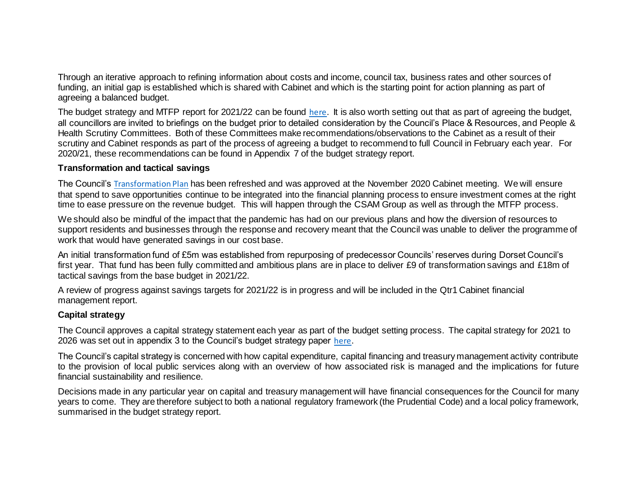Through an iterative approach to refining information about costs and income, council tax, business rates and other sources of funding, an initial gap is established which is shared with Cabinet and which is the starting point for action planning as part of agreeing a balanced budget.

The budget strategy and MTFP report for 2021/22 can be found [here](https://moderngov.dorsetcouncil.gov.uk/ieListDocuments.aspx?CId=153&MId=4805&Ver=4). It is also worth setting out that as part of agreeing the budget, all councillors are invited to briefings on the budget prior to detailed consideration by the Council's Place & Resources, and People & Health Scrutiny Committees. Both of these Committees make recommendations/observations to the Cabinet as a result of their scrutiny and Cabinet responds as part of the process of agreeing a budget to recommend to full Council in February each year. For 2020/21, these recommendations can be found in Appendix 7 of the budget strategy report.

#### **Transformation and tactical savings**

The Council's [Transformation Plan](https://moderngov.dorsetcouncil.gov.uk/documents/s21448/Transformation%20Annual%20Report%20Final%20Version.pdf) has been refreshed and was approved at the November 2020 Cabinet meeting. We will ensure that spend to save opportunities continue to be integrated into the financial planning process to ensure investment comes at the right time to ease pressure on the revenue budget. This will happen through the CSAM Group as well as through the MTFP process.

We should also be mindful of the impact that the pandemic has had on our previous plans and how the diversion of resources to support residents and businesses through the response and recovery meant that the Council was unable to deliver the programme of work that would have generated savings in our cost base.

An initial transformation fund of £5m was established from repurposing of predecessor Councils' reserves during Dorset Council's first year. That fund has been fully committed and ambitious plans are in place to deliver £9 of transformation savings and £18m of tactical savings from the base budget in 2021/22.

A review of progress against savings targets for 2021/22 is in progress and will be included in the Qtr1 Cabinet financial management report.

#### **Capital strategy**

The Council approves a capital strategy statement each year as part of the budget setting process. The capital strategy for 2021 to 2026 was set out in appendix 3 to the Council's budget strategy paper [here](https://moderngov.dorsetcouncil.gov.uk/documents/s22881/Budget%20strategy%20report%20Appendices%2019012021%20Dorset%20Council%20-%20Cabinet.pdf).

The Council's capital strategy is concerned with how capital expenditure, capital financing and treasury management activity contribute to the provision of local public services along with an overview of how associated risk is managed and the implications for future financial sustainability and resilience.

Decisions made in any particular year on capital and treasury management will have financial consequences for the Council for many years to come. They are therefore subject to both a national regulatory framework (the Prudential Code) and a local policy framework, summarised in the budget strategy report.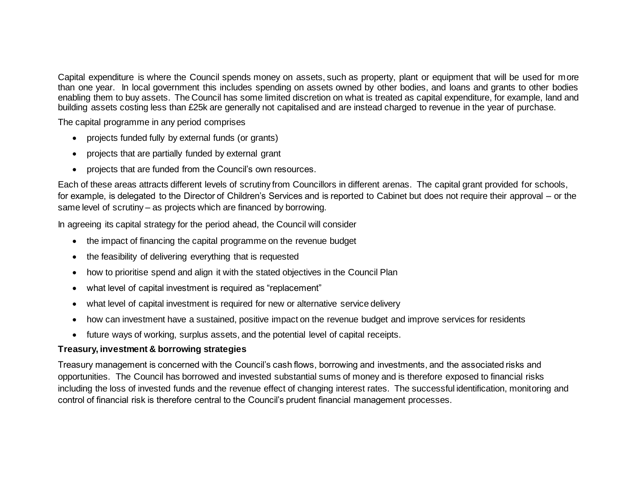Capital expenditure is where the Council spends money on assets, such as property, plant or equipment that will be used for more than one year. In local government this includes spending on assets owned by other bodies, and loans and grants to other bodies enabling them to buy assets. The Council has some limited discretion on what is treated as capital expenditure, for example, land and building assets costing less than £25k are generally not capitalised and are instead charged to revenue in the year of purchase.

The capital programme in any period comprises

- projects funded fully by external funds (or grants)
- projects that are partially funded by external grant
- projects that are funded from the Council's own resources.

Each of these areas attracts different levels of scrutiny from Councillors in different arenas. The capital grant provided for schools, for example, is delegated to the Director of Children's Services and is reported to Cabinet but does not require their approval – or the same level of scrutiny – as projects which are financed by borrowing.

In agreeing its capital strategy for the period ahead, the Council will consider

- the impact of financing the capital programme on the revenue budget
- the feasibility of delivering everything that is requested
- how to prioritise spend and align it with the stated objectives in the Council Plan
- what level of capital investment is required as "replacement"
- what level of capital investment is required for new or alternative service delivery
- how can investment have a sustained, positive impact on the revenue budget and improve services for residents
- future ways of working, surplus assets, and the potential level of capital receipts.

# **Treasury, investment & borrowing strategies**

Treasury management is concerned with the Council's cash flows, borrowing and investments, and the associated risks and opportunities. The Council has borrowed and invested substantial sums of money and is therefore exposed to financial risks including the loss of invested funds and the revenue effect of changing interest rates. The successful identification, monitoring and control of financial risk is therefore central to the Council's prudent financial management processes.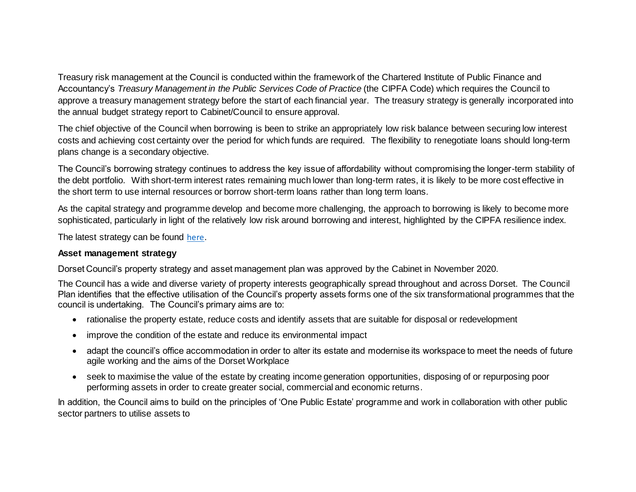Treasury risk management at the Council is conducted within the framework of the Chartered Institute of Public Finance and Accountancy's *Treasury Management in the Public Services Code of Practice* (the CIPFA Code) which requires the Council to approve a treasury management strategy before the start of each financial year. The treasury strategy is generally incorporated into the annual budget strategy report to Cabinet/Council to ensure approval.

The chief objective of the Council when borrowing is been to strike an appropriately low risk balance between securing low interest costs and achieving cost certainty over the period for which funds are required. The flexibility to renegotiate loans should long-term plans change is a secondary objective.

The Council's borrowing strategy continues to address the key issue of affordability without compromising the longer-term stability of the debt portfolio. With short-term interest rates remaining much lower than long-term rates, it is likely to be more cost effective in the short term to use internal resources or borrow short-term loans rather than long term loans.

As the capital strategy and programme develop and become more challenging, the approach to borrowing is likely to become more sophisticated, particularly in light of the relatively low risk around borrowing and interest, highlighted by the CIPFA resilience index.

The latest strategy can be found [here](https://moderngov.dorsetcouncil.gov.uk/documents/s22881/Budget%20strategy%20report%20Appendices%2019012021%20Dorset%20Council%20-%20Cabinet.pdf).

#### **Asset management strategy**

Dorset Council's property strategy and asset management plan was approved by the Cabinet in November 2020.

The Council has a wide and diverse variety of property interests geographically spread throughout and across Dorset. The Council Plan identifies that the effective utilisation of the Council's property assets forms one of the six transformational programmes that the council is undertaking. The Council's primary aims are to:

- rationalise the property estate, reduce costs and identify assets that are suitable for disposal or redevelopment
- improve the condition of the estate and reduce its environmental impact
- adapt the council's office accommodation in order to alter its estate and modernise its workspace to meet the needs of future agile working and the aims of the Dorset Workplace
- seek to maximise the value of the estate by creating income generation opportunities, disposing of or repurposing poor performing assets in order to create greater social, commercial and economic returns.

In addition, the Council aims to build on the principles of 'One Public Estate' programme and work in collaboration with other public sector partners to utilise assets to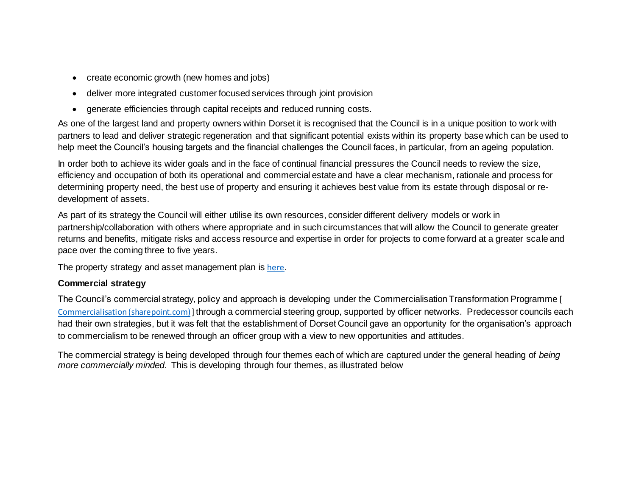- create economic growth (new homes and jobs)
- deliver more integrated customer focused services through joint provision
- generate efficiencies through capital receipts and reduced running costs.

As one of the largest land and property owners within Dorset it is recognised that the Council is in a unique position to work with partners to lead and deliver strategic regeneration and that significant potential exists within its property base which can be used to help meet the Council's housing targets and the financial challenges the Council faces, in particular, from an ageing population.

In order both to achieve its wider goals and in the face of continual financial pressures the Council needs to review the size, efficiency and occupation of both its operational and commercial estate and have a clear mechanism, rationale and process for determining property need, the best use of property and ensuring it achieves best value from its estate through disposal or redevelopment of assets.

As part of its strategy the Council will either utilise its own resources, consider different delivery models or work in partnership/collaboration with others where appropriate and in such circumstances that will allow the Council to generate greater returns and benefits, mitigate risks and access resource and expertise in order for projects to come forward at a greater scale and pace over the coming three to five years.

The property strategy and asset management plan is [here](https://moderngov.dorsetcouncil.gov.uk/documents/s21449/Assest%20Management%20Plan%20including%20appendices.pdf).

# **Commercial strategy**

The Council's commercial strategy, policy and approach is developing under the Commercialisation Transformation Programme [ [Commercialisation \(sharepoint.com\)](https://dorsetcc.sharepoint.com/sites/Transformation2/SitePages/Procurement-and-co.aspx)] through a commercial steering group, supported by officer networks. Predecessor councils each had their own strategies, but it was felt that the establishment of Dorset Council gave an opportunity for the organisation's approach to commercialism to be renewed through an officer group with a view to new opportunities and attitudes.

The commercial strategy is being developed through four themes each of which are captured under the general heading of *being more commercially minded*. This is developing through four themes, as illustrated below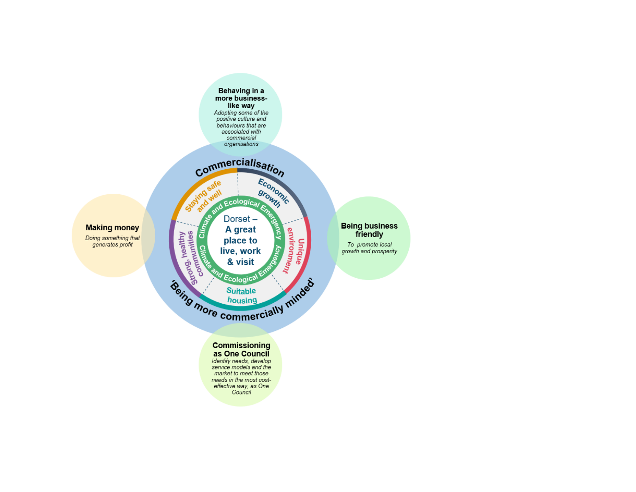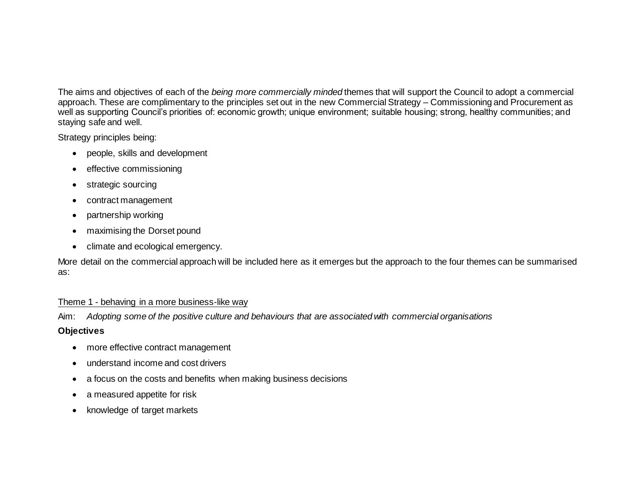The aims and objectives of each of the *being more commercially minded* themes that will support the Council to adopt a commercial approach. These are complimentary to the principles set out in the new Commercial Strategy – Commissioning and Procurement as well as supporting Council's priorities of: economic growth; unique environment; suitable housing; strong, healthy communities; and staying safe and well.

Strategy principles being:

- people, skills and development
- effective commissioning
- strategic sourcing
- contract management
- partnership working
- maximising the Dorset pound
- climate and ecological emergency.

More detail on the commercial approach will be included here as it emerges but the approach to the four themes can be summarised as:

# Theme 1 - behaving in a more business-like way

Aim: *Adopting some of the positive culture and behaviours that are associated with commercial organisations*

# **Objectives**

- more effective contract management
- understand income and cost drivers
- a focus on the costs and benefits when making business decisions
- a measured appetite for risk
- knowledge of target markets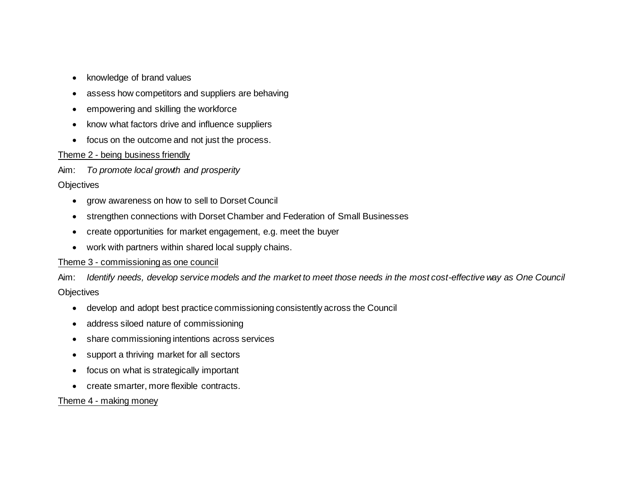- knowledge of brand values
- assess how competitors and suppliers are behaving
- empowering and skilling the workforce
- know what factors drive and influence suppliers
- focus on the outcome and not just the process.

# Theme 2 - being business friendly

Aim: *To promote local growth and prosperity*

# **Objectives**

- grow awareness on how to sell to Dorset Council
- strengthen connections with Dorset Chamber and Federation of Small Businesses
- create opportunities for market engagement, e.g. meet the buyer
- work with partners within shared local supply chains.

# Theme 3 - commissioning as one council

Aim: *Identify needs, develop service models and the market to meet those needs in the most cost-effective way as One Council* **Objectives** 

- develop and adopt best practice commissioning consistently across the Council
- address siloed nature of commissioning
- share commissioning intentions across services
- support a thriving market for all sectors
- focus on what is strategically important
- create smarter, more flexible contracts.

#### Theme 4 - making money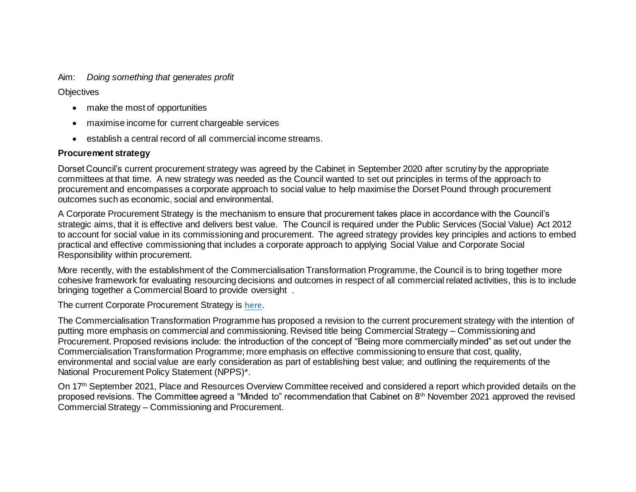Aim: *Doing something that generates profit*

**Objectives** 

- make the most of opportunities
- maximise income for current chargeable services
- establish a central record of all commercial income streams.

## **Procurement strategy**

Dorset Council's current procurement strategy was agreed by the Cabinet in September 2020 after scrutiny by the appropriate committees at that time. A new strategy was needed as the Council wanted to set out principles in terms of the approach to procurement and encompasses a corporate approach to social value to help maximise the Dorset Pound through procurement outcomes such as economic, social and environmental.

A Corporate Procurement Strategy is the mechanism to ensure that procurement takes place in accordance with the Council's strategic aims, that it is effective and delivers best value. The Council is required under the Public Services (Social Value) Act 2012 to account for social value in its commissioning and procurement. The agreed strategy provides key principles and actions to embed practical and effective commissioning that includes a corporate approach to applying Social Value and Corporate Social Responsibility within procurement.

More recently, with the establishment of the Commercialisation Transformation Programme, the Council is to bring together more cohesive framework for evaluating resourcing decisions and outcomes in respect of all commercial related activities, this is to include bringing together a Commercial Board to provide oversight .

The current Corporate Procurement Strategy is [here](https://moderngov.dorsetcouncil.gov.uk/documents/s20391/Corporate%20Procurement%20Strategy.pdf).

The Commercialisation Transformation Programme has proposed a revision to the current procurement strategy with the intention of putting more emphasis on commercial and commissioning. Revised title being Commercial Strategy – Commissioning and Procurement. Proposed revisions include: the introduction of the concept of "Being more commercially minded" as set out under the Commercialisation Transformation Programme; more emphasis on effective commissioning to ensure that cost, quality, environmental and social value are early consideration as part of establishing best value; and outlining the requirements of the National Procurement Policy Statement (NPPS)\*.

On 17<sup>th</sup> September 2021, Place and Resources Overview Committee received and considered a report which provided details on the proposed revisions. The Committee agreed a "Minded to" recommendation that Cabinet on 8<sup>th</sup> November 2021 approved the revised Commercial Strategy – Commissioning and Procurement.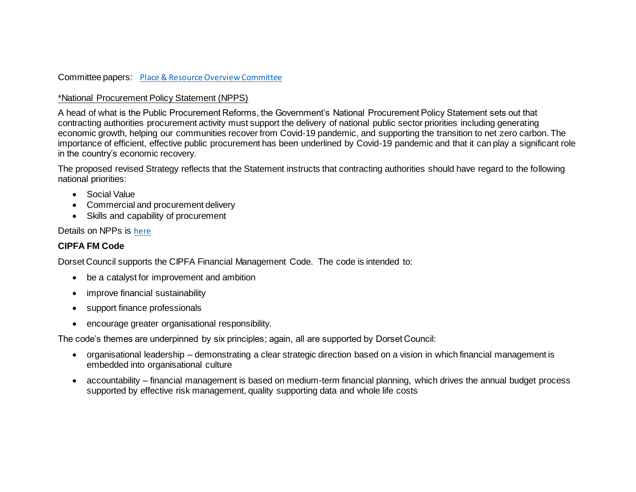#### Committee papers: [Place & Resource Overview Committee](file://///DCCFILE/FSCOMMON/Dorset%20Procurement/0%20Cabinet/2021/Cabinet%20-%202%20November%202021%20-%201%20x%20Commercial%20Strategy/Place%20&%20Resource%20Overview%20Committee)

## \*National Procurement Policy Statement (NPPS)

A head of what is the Public Procurement Reforms, the Government's National Procurement Policy Statement sets out that contracting authorities procurement activity must support the delivery of national public sector priorities including generating economic growth, helping our communities recover from Covid-19 pandemic, and supporting the transition to net zero carbon. The importance of efficient, effective public procurement has been underlined by Covid-19 pandemic and that it can play a significant role in the country's economic recovery.

The proposed revised Strategy reflects that the Statement instructs that contracting authorities should have regard to the following national priorities:

- Social Value
- Commercial and procurement delivery
- Skills and capability of procurement

## Details on NPPs is [here](https://www.gov.uk/government/news/procurement-teams-must-consider-wider-benefits-of-public-spending)

# **CIPFA FM Code**

Dorset Council supports the CIPFA Financial Management Code. The code is intended to:

- be a catalyst for improvement and ambition
- improve financial sustainability
- support finance professionals
- encourage greater organisational responsibility.

The code's themes are underpinned by six principles; again, all are supported by Dorset Council:

- organisational leadership demonstrating a clear strategic direction based on a vision in which financial management is embedded into organisational culture
- accountability financial management is based on medium-term financial planning, which drives the annual budget process supported by effective risk management, quality supporting data and whole life costs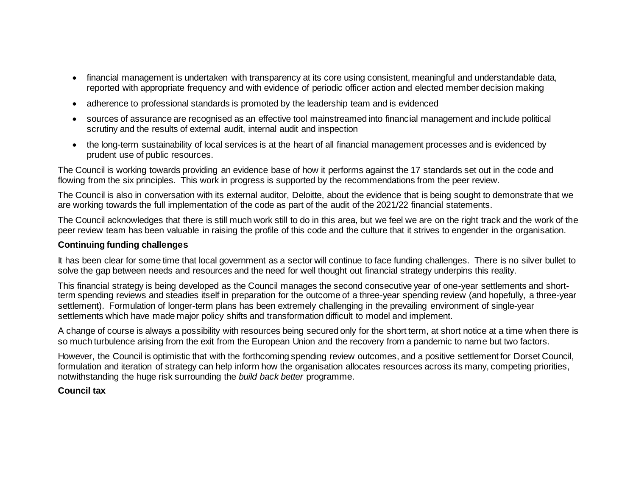- financial management is undertaken with transparency at its core using consistent, meaningful and understandable data, reported with appropriate frequency and with evidence of periodic officer action and elected member decision making
- adherence to professional standards is promoted by the leadership team and is evidenced
- sources of assurance are recognised as an effective tool mainstreamed into financial management and include political scrutiny and the results of external audit, internal audit and inspection
- the long-term sustainability of local services is at the heart of all financial management processes and is evidenced by prudent use of public resources.

The Council is working towards providing an evidence base of how it performs against the 17 standards set out in the code and flowing from the six principles. This work in progress is supported by the recommendations from the peer review.

The Council is also in conversation with its external auditor, Deloitte, about the evidence that is being sought to demonstrate that we are working towards the full implementation of the code as part of the audit of the 2021/22 financial statements.

The Council acknowledges that there is still much work still to do in this area, but we feel we are on the right track and the work of the peer review team has been valuable in raising the profile of this code and the culture that it strives to engender in the organisation.

#### **Continuing funding challenges**

It has been clear for some time that local government as a sector will continue to face funding challenges. There is no silver bullet to solve the gap between needs and resources and the need for well thought out financial strategy underpins this reality.

This financial strategy is being developed as the Council manages the second consecutive year of one-year settlements and shortterm spending reviews and steadies itself in preparation for the outcome of a three-year spending review (and hopefully, a three-year settlement). Formulation of longer-term plans has been extremely challenging in the prevailing environment of single-year settlements which have made major policy shifts and transformation difficult to model and implement.

A change of course is always a possibility with resources being secured only for the short term, at short notice at a time when there is so much turbulence arising from the exit from the European Union and the recovery from a pandemic to name but two factors.

However, the Council is optimistic that with the forthcoming spending review outcomes, and a positive settlement for Dorset Council, formulation and iteration of strategy can help inform how the organisation allocates resources across its many, competing priorities, notwithstanding the huge risk surrounding the *build back better* programme.

#### **Council tax**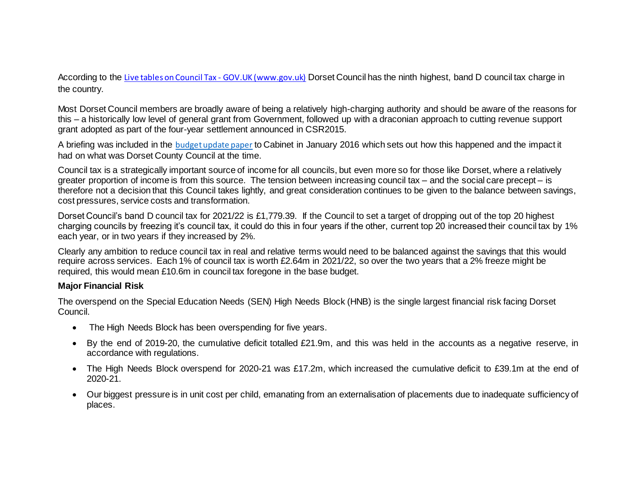According to the [Live tables on Council Tax -](https://www.gov.uk/government/statistical-data-sets/live-tables-on-council-tax) GOV.UK (www.gov.uk) Dorset Council has the ninth highest, band D council tax charge in the country.

Most Dorset Council members are broadly aware of being a relatively high-charging authority and should be aware of the reasons for this – a historically low level of general grant from Government, followed up with a draconian approach to cutting revenue support grant adopted as part of the four-year settlement announced in CSR2015.

A briefing was included in the [budget update paper](https://moderngov.dorsetcouncil.gov.uk/Data/252/201601131000/Agenda/Medium%20Term%20Financial%20Plan%20(MTFP)%20-%20update%20for%20Local%20Government%20finance%20settlement.pdf) to Cabinet in January 2016 which sets out how this happened and the impact it had on what was Dorset County Council at the time.

Council tax is a strategically important source of income for all councils, but even more so for those like Dorset, where a relatively greater proportion of income is from this source. The tension between increasing council tax – and the social care precept – is therefore not a decision that this Council takes lightly, and great consideration continues to be given to the balance between savings, cost pressures, service costs and transformation.

Dorset Council's band D council tax for 2021/22 is £1,779.39. If the Council to set a target of dropping out of the top 20 highest charging councils by freezing it's council tax, it could do this in four years if the other, current top 20 increased their council tax by 1% each year, or in two years if they increased by 2%.

Clearly any ambition to reduce council tax in real and relative terms would need to be balanced against the savings that this would require across services. Each 1% of council tax is worth £2.64m in 2021/22, so over the two years that a 2% freeze might be required, this would mean £10.6m in council tax foregone in the base budget.

#### **Major Financial Risk**

The overspend on the Special Education Needs (SEN) High Needs Block (HNB) is the single largest financial risk facing Dorset Council.

- The High Needs Block has been overspending for five years.
- By the end of 2019-20, the cumulative deficit totalled £21.9m, and this was held in the accounts as a negative reserve, in accordance with regulations.
- The High Needs Block overspend for 2020-21 was £17.2m, which increased the cumulative deficit to £39.1m at the end of 2020-21.
- Our biggest pressure is in unit cost per child, emanating from an externalisation of placements due to inadequate sufficiency of places.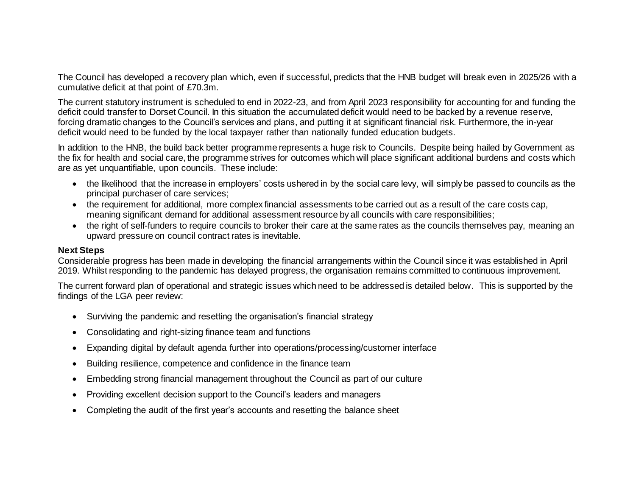The Council has developed a recovery plan which, even if successful, predicts that the HNB budget will break even in 2025/26 with a cumulative deficit at that point of £70.3m.

The current statutory instrument is scheduled to end in 2022-23, and from April 2023 responsibility for accounting for and funding the deficit could transfer to Dorset Council. In this situation the accumulated deficit would need to be backed by a revenue reserve, forcing dramatic changes to the Council's services and plans, and putting it at significant financial risk. Furthermore, the in-year deficit would need to be funded by the local taxpayer rather than nationally funded education budgets.

In addition to the HNB, the build back better programme represents a huge risk to Councils. Despite being hailed by Government as the fix for health and social care, the programme strives for outcomes which will place significant additional burdens and costs which are as yet unquantifiable, upon councils. These include:

- the likelihood that the increase in employers' costs ushered in by the social care levy, will simply be passed to councils as the principal purchaser of care services;
- the requirement for additional, more complex financial assessments to be carried out as a result of the care costs cap, meaning significant demand for additional assessment resource by all councils with care responsibilities;
- the right of self-funders to require councils to broker their care at the same rates as the councils themselves pay, meaning an upward pressure on council contract rates is inevitable.

#### **Next Steps**

Considerable progress has been made in developing the financial arrangements within the Council since it was established in April 2019. Whilst responding to the pandemic has delayed progress, the organisation remains committed to continuous improvement.

The current forward plan of operational and strategic issues which need to be addressed is detailed below. This is supported by the findings of the LGA peer review:

- Surviving the pandemic and resetting the organisation's financial strategy
- Consolidating and right-sizing finance team and functions
- Expanding digital by default agenda further into operations/processing/customer interface
- Building resilience, competence and confidence in the finance team
- Embedding strong financial management throughout the Council as part of our culture
- Providing excellent decision support to the Council's leaders and managers
- Completing the audit of the first year's accounts and resetting the balance sheet